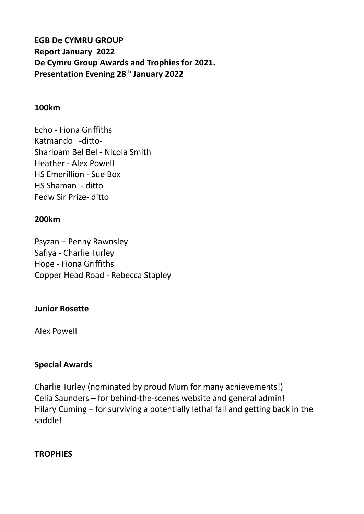# **EGB De CYMRU GROUP Report January 2022 De Cymru Group Awards and Trophies for 2021. Presentation Evening 28th January 2022**

#### **100km**

Echo - Fiona Griffiths Katmando -ditto-Sharloam Bel Bel - Nicola Smith Heather - Alex Powell HS Emerillion - Sue Box HS Shaman - ditto Fedw Sir Prize- ditto

#### **200km**

Psyzan – Penny Rawnsley Safiya - Charlie Turley Hope - Fiona Griffiths Copper Head Road - Rebecca Stapley

### **Junior Rosette**

Alex Powell

#### **Special Awards**

Charlie Turley (nominated by proud Mum for many achievements!) Celia Saunders – for behind-the-scenes website and general admin! Hilary Cuming – for surviving a potentially lethal fall and getting back in the saddle!

#### **TROPHIES**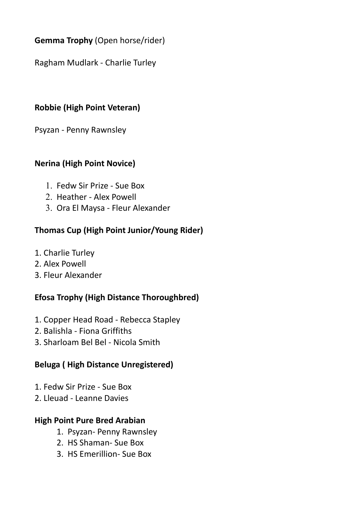# **Gemma Trophy** (Open horse/rider)

Ragham Mudlark - Charlie Turley

## **Robbie (High Point Veteran)**

Psyzan - Penny Rawnsley

### **Nerina (High Point Novice)**

- 1. Fedw Sir Prize Sue Box
- 2. Heather Alex Powell
- 3. Ora El Maysa Fleur Alexander

### **Thomas Cup (High Point Junior/Young Rider)**

- 1. Charlie Turley
- 2. Alex Powell
- 3. Fleur Alexander

# **Efosa Trophy (High Distance Thoroughbred)**

- 1. Copper Head Road Rebecca Stapley
- 2. Balishla Fiona Griffiths
- 3. Sharloam Bel Bel Nicola Smith

### **Beluga ( High Distance Unregistered)**

- 1. Fedw Sir Prize Sue Box
- 2. Lleuad Leanne Davies

### **High Point Pure Bred Arabian**

- 1. Psyzan- Penny Rawnsley
- 2. HS Shaman- Sue Box
- 3. HS Emerillion- Sue Box